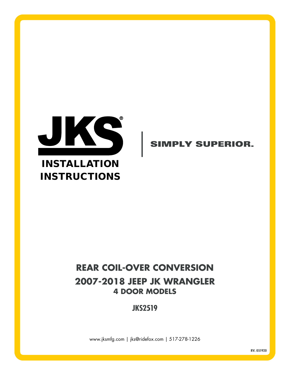

# INSTALLATION INSTRUCTIONS

## **SIMPLY SUPERIOR.**

# **REAR COIL-OVER CONVERSION 2007-2018 JEEP JK WRANGLER 4 DOOR MODELS**

**JKS2519**

www.jksmfg.com | jks@ridefox.com | 517-278-1226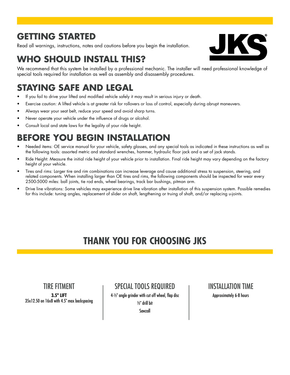# **GETTING STARTED**

Read all warnings, instructions, notes and cautions before you begin the installation.



# **WHO SHOULD INSTALL THIS?**

We recommend that this system be installed by a professional mechanic. The installer will need professional knowledge of special tools required for installation as well as assembly and disassembly procedures.

# **STAYING SAFE AND LEGAL**

- If you fail to drive your lifted and modified vehicle safely it may result in serious injury or death.
- Exercise caution: A lifted vehicle is at greater risk for rollovers or loss of control, especially during abrupt maneuvers.
- Always wear your seat belt, reduce your speed and avoid sharp turns.
- Never operate your vehicle under the influence of drugs or alcohol.
- Consult local and state laws for the legality of your ride height.

# **BEFORE YOU BEGIN INSTALLATION**

- Needed items: OE service manual for your vehicle, safety glasses, and any special tools as indicated in these instructions as well as the following tools: assorted metric and standard wrenches, hammer, hydraulic floor jack and a set of jack stands.
- Ride Height: Measure the initial ride height of your vehicle prior to installation. Final ride height may vary depending on the factory height of your vehicle.
- Tires and rims: Larger tire and rim combinations can increase leverage and cause additional stress to suspension, steering, and related components. When installing larger than OE tires and rims, the following components should be inspected for wear every 2500-5000 miles: ball joints, tie rod ends, wheel bearings, track bar bushings, pitman arm.
- Drive line vibrations: Some vehicles may experience drive line vibration after installation of this suspension system. Possible remedies for this include: tuning angles, replacement of slider on shaft, lengthening or truing of shaft, and/or replacing u-joints.

# **THANK YOU FOR CHOOSING JKS**

### TIRE FITMENT

**3.5" LIFT** 35x12.50 on 16x8 with 4.5" max backspacing SPECIAL TOOLS REQUIRED

4-1/2" angle grinder with cut off wheel, flap disc 1/2" drill bit Sawzall

### INSTALLATION TIME

Approximately 6-8 hours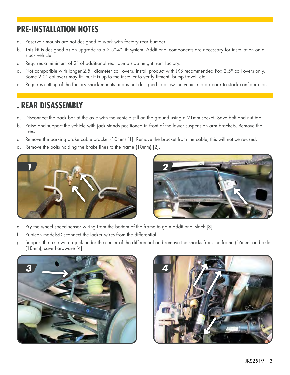## **PRE-INSTALLATION NOTES**

- a. Reservoir mounts are not designed to work with factory rear bumper.
- b. This kit is designed as an upgrade to a 2.5"-4" lift system. Additional components are necessary for installation on a stock vehicle.
- c. Requires a minimum of 2" of additional rear bump stop height from factory.
- d. Not compatible with longer 2.5" diameter coil overs. Install product with JKS recommended Fox 2.5" coil overs only. Some 2.0" coilovers may fit, but it is up to the installer to verify fitment, bump travel, etc.
- e. Requires cutting of the factory shock mounts and is not designed to allow the vehicle to go back to stock configuration.

## **. REAR DISASSEMBLY**

- a. Disconnect the track bar at the axle with the vehicle still on the ground using a 21mm socket. Save bolt and nut tab.
- b. Raise and support the vehicle with jack stands positioned in front of the lower suspension arm brackets. Remove the tires.
- c. Remove the parking brake cable bracket (10mm) [1]. Remove the bracket from the cable, this will not be re-used.
- d. Remove the bolts holding the brake lines to the frame (10mm) [2].





- e. Pry the wheel speed sensor wiring from the bottom of the frame to gain additional slack [3].
- f. Rubicon models:Disconnect the locker wires from the differential.
- g. Support the axle with a jack under the center of the differential and remove the shocks from the frame (16mm) and axle (18mm), save hardware [4].



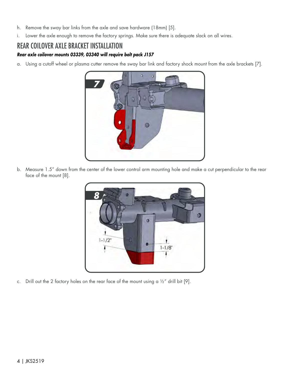- h. Remove the sway bar links from the axle and save hardware (18mm) [5].
- i. Lower the axle enough to remove the factory springs. Make sure there is adequate slack on all wires.

#### REAR COILOVER AXLE BRACKET INSTALLATION

#### *Rear axle coilover mounts 03339, 03340 will require bolt pack J157*

a. Using a cutoff wheel or plasma cutter remove the sway bar link and factory shock mount from the axle brackets [7].



b. Measure 1.5" down from the center of the lower control arm mounting hole and make a cut perpendicular to the rear face of the mount [8].



c. Drill out the 2 factory holes on the rear face of the mount using a  $1/2$ " drill bit [9].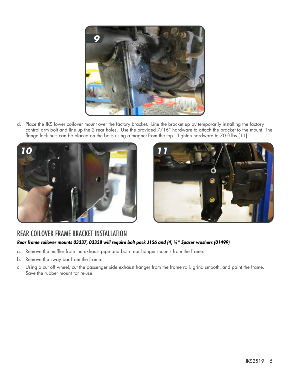

d. Place the JKS lower coilover mount over the factory bracket. Line the bracket up by temporarily installing the factory control arm bolt and line up the 2 rear holes. Use the provided 7/16" hardware to attach the bracket to the mount. The flange lock nuts can be placed on the bolts using a magnet from the top. Tighten hardware to 70 ft lbs [11].





#### REAR COILOVER FRAME BRACKET INSTALLATION *Rear frame coilover mounts 03337, 03338 will require bolt pack J156 and (4) 1/4" Spacer washers (01499)*

- a. Remove the muffler from the exhaust pipe and both rear hanger mounts from the frame.
- b. Remove the sway bar from the frame.
- c. Using a cut off wheel, cut the passenger side exhaust hanger from the frame rail, grind smooth, and paint the frame. Save the rubber mount for re-use.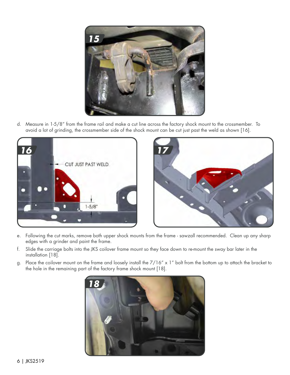

d. Measure in 1-5/8" from the frame rail and make a cut line across the factory shock mount to the crossmember. To avoid a lot of grinding, the crossmember side of the shock mount can be cut just past the weld as shown [16].





- e. Following the cut marks, remove both upper shock mounts from the frame sawzall recommended. Clean up any sharp edges with a grinder and paint the frame.
- f. Slide the carriage bolts into the JKS coilover frame mount so they face down to re-mount the sway bar later in the installation [18].
- g. Place the coilover mount on the frame and loosely install the 7/16" x 1" bolt from the bottom up to attach the bracket to the hole in the remaining part of the factory frame shock mount [18].

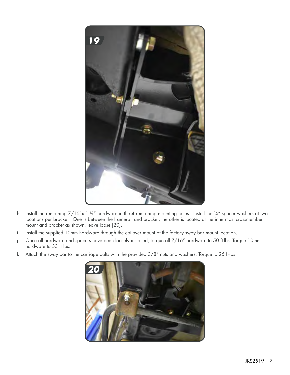

- h. Install the remaining  $7/16''$ x 1-1/4" hardware in the 4 remaining mounting holes. Install the 1/4" spacer washers at two locations per bracket. One is between the framerail and bracket, the other is located at the innermost crossmember mount and bracket as shown, leave loose [20].
- i. Install the supplied 10mm hardware through the coilover mount at the factory sway bar mount location.
- j. Once all hardware and spacers have been loosely installed, torque all 7/16" hardware to 50 ft-lbs. Torque 10mm hardware to 33 ft lbs.
- k. Attach the sway bar to the carriage bolts with the provided 3/8" nuts and washers. Torque to 25 ft-lbs.

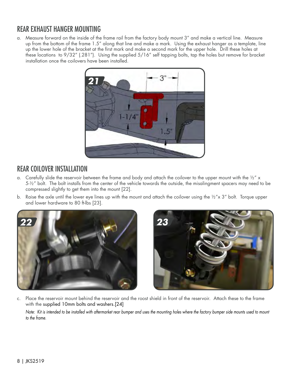## REAR EXHAUST HANGER MOUNTING

a. Measure forward on the inside of the frame rail from the factory body mount 3" and make a vertical line. Measure up from the bottom of the frame 1.5" along that line and make a mark. Using the exhaust hanger as a template, line up the lower hole of the bracket at the first mark and make a second mark for the upper hole. Drill these holes at these locations to 9/32" (.281"). Using the supplied 5/16" self tapping bolts, tap the holes but remove for bracket installation once the coilovers have been installed.



## REAR COILOVER INSTALLATION

- a. Carefully slide the reservoir between the frame and body and attach the coilover to the upper mount with the  $\frac{1}{2}$ " x 5-1/2" bolt. The bolt installs from the center of the vehicle towards the outside, the misalingment spacers may need to be compressed slightly to get them into the mount [22].
- b. Raise the axle until the lower eye lines up with the mount and attach the coilover using the  $\frac{1}{2}x \times 3$ " bolt. Torque upper and lower hardware to 80 ft-lbs [23].





c. Place the reservoir mount behind the reservoir and the roost shield in front of the reservoir. Attach these to the frame with the supplied 10mm bolts and washers.[24]

Note: Kit is intended to be installed with aftermarket rear bumper and uses the mounting holes where the factory bumper side mounts used to mount *to the frame.*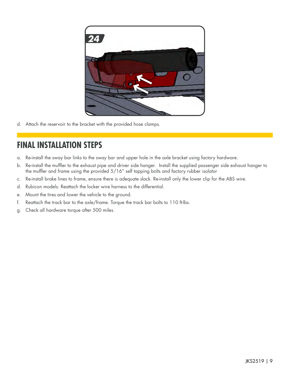

d. Attach the reservoir to the bracket with the provided hose clamps.

## **FINAL INSTALLATION STEPS**

- a. Re-install the sway bar links to the sway bar and upper hole in the axle bracket using factory hardware.
- b. Re-install the muffler to the exhaust pipe and driver side hanger. Install the supplied passenger side exhaust hanger to the muffler and frame using the provided 5/16" self tapping bolts and factory rubber isolator
- c. Re-install brake lines to frame, ensure there is adequate slack. Re-install only the lower clip for the ABS wire.
- d. Rubicon models: Reattach the locker wire harness to the differential.
- e. Mount the tires and lower the vehicle to the ground.
- f. Reattach the track bar to the axle/frame. Torque the track bar bolts to 110 ft-lbs.
- g. Check all hardware torque after 500 miles.